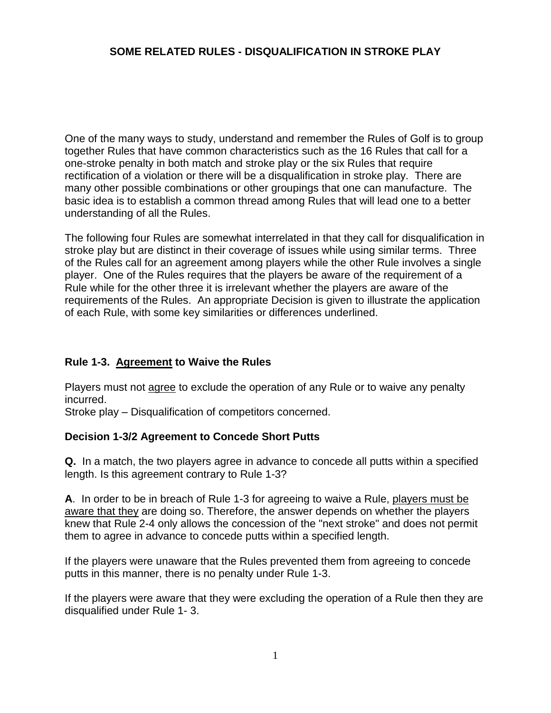# **SOME RELATED RULES - DISQUALIFICATION IN STROKE PLAY**

One of the many ways to study, understand and remember the Rules of Golf is to group together Rules that have common characteristics such as the 16 Rules that call for a one-stroke penalty in both match and stroke play or the six Rules that require rectification of a violation or there will be a disqualification in stroke play. There are many other possible combinations or other groupings that one can manufacture. The basic idea is to establish a common thread among Rules that will lead one to a better understanding of all the Rules.

The following four Rules are somewhat interrelated in that they call for disqualification in stroke play but are distinct in their coverage of issues while using similar terms. Three of the Rules call for an agreement among players while the other Rule involves a single player. One of the Rules requires that the players be aware of the requirement of a Rule while for the other three it is irrelevant whether the players are aware of the requirements of the Rules. An appropriate Decision is given to illustrate the application of each Rule, with some key similarities or differences underlined.

#### **Rule 1-3. Agreement to Waive the Rules**

Players must not agree to exclude the operation of any Rule or to waive any penalty incurred.

Stroke play – Disqualification of competitors concerned.

#### **Decision 1-3/2 Agreement to Concede Short Putts**

**Q.** In a match, the two players agree in advance to concede all putts within a specified length. Is this agreement contrary to Rule 1-3?

**A**. In order to be in breach of Rule 1-3 for agreeing to waive a Rule, players must be aware that they are doing so. Therefore, the answer depends on whether the players knew that Rule 2-4 only allows the concession of the "next stroke" and does not permit them to agree in advance to concede putts within a specified length.

If the players were unaware that the Rules prevented them from agreeing to concede putts in this manner, there is no penalty under Rule 1-3.

If the players were aware that they were excluding the operation of a Rule then they are disqualified under Rule 1- 3.